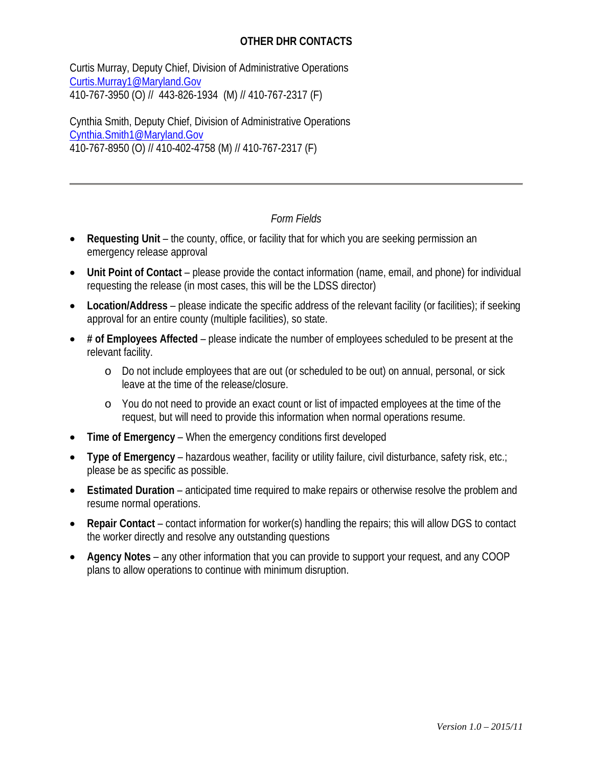## **OTHER DHR CONTACTS**

Curtis Murray, Deputy Chief, Division of Administrative Operations [Curtis.Murray1@Maryland.Gov](mailto:Curtis.Murray1@Maryland.Gov) 410-767-3950 (O) // 443-826-1934 (M) // 410-767-2317 (F)

Cynthia Smith, Deputy Chief, Division of Administrative Operations [Cynthia.Smith1@Maryland.Gov](mailto:Cynthia.Smith1@Maryland.Gov) 410-767-8950 (O) // 410-402-4758 (M) // 410-767-2317 (F)

## *Form Fields*

- **Requesting Unit** the county, office, or facility that for which you are seeking permission an emergency release approval
- **Unit Point of Contact** please provide the contact information (name, email, and phone) for individual requesting the release (in most cases, this will be the LDSS director)
- **Location/Address** please indicate the specific address of the relevant facility (or facilities); if seeking approval for an entire county (multiple facilities), so state.
- **# of Employees Affected** please indicate the number of employees scheduled to be present at the relevant facility.
	- o Do not include employees that are out (or scheduled to be out) on annual, personal, or sick leave at the time of the release/closure.
	- o You do not need to provide an exact count or list of impacted employees at the time of the request, but will need to provide this information when normal operations resume.
- **Time of Emergency** When the emergency conditions first developed
- **Type of Emergency**  hazardous weather, facility or utility failure, civil disturbance, safety risk, etc.; please be as specific as possible.
- **Estimated Duration** anticipated time required to make repairs or otherwise resolve the problem and resume normal operations.
- **Repair Contact** contact information for worker(s) handling the repairs; this will allow DGS to contact the worker directly and resolve any outstanding questions
- **Agency Notes** any other information that you can provide to support your request, and any COOP plans to allow operations to continue with minimum disruption.